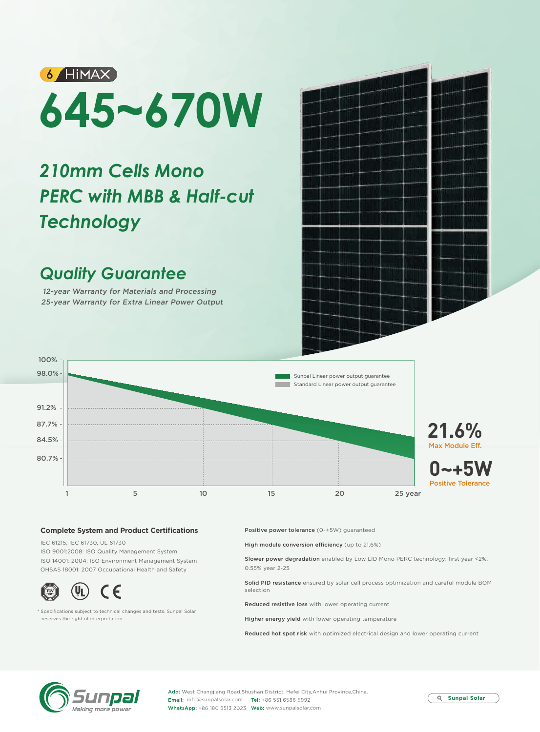# **6 HIMAX 645~670W**

## *210mm Cells Mono PERC with MBB & Half-cut Technology*

## *Quality Guarantee*

12-year Warranty for Materials and Processing 25-year Warranty for Extra Linear Power Output



## **Complete System and Product Certifications**

IEC 61215, IEC 61730, UL 61730 ISO 9001:2008: ISO Quality Management System ISO 14001: 2004: ISO Environment Management System OHSAS 18001: 2007 Occupational Health and Safety



\* Specifications subject to technical changes and tests. Sunpal Solar reserves the right of interpretation.

Positive power tolerance (0~+5W) guaranteed

High module conversion efficiency (up to 21.6%)

Slower power degradation enabled by Low LID Mono PERC technology: first year <2%, 0.55% year 2-25

Solid PID resistance ensured by solar cell process optimization and careful module BOM selection

Reduced resistive loss with lower operating current

Higher energy yield with lower operating temperature

Reduced hot spot risk with optimized electrical design and lower operating current